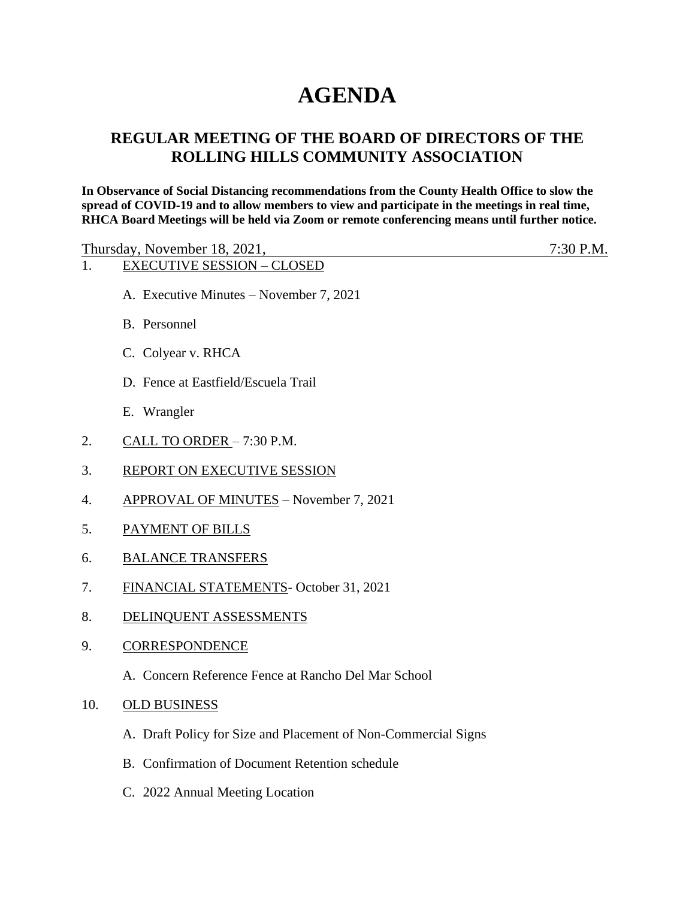# **AGENDA**

## **REGULAR MEETING OF THE BOARD OF DIRECTORS OF THE ROLLING HILLS COMMUNITY ASSOCIATION**

**In Observance of Social Distancing recommendations from the County Health Office to slow the spread of COVID-19 and to allow members to view and participate in the meetings in real time, RHCA Board Meetings will be held via Zoom or remote conferencing means until further notice.** 

| Thursday, November 18, 2021,            | $7:30$ P.M. |
|-----------------------------------------|-------------|
| <b>EXECUTIVE SESSION – CLOSED</b>       |             |
| A. Executive Minutes – November 7, 2021 |             |

- B. Personnel
- C. Colyear v. RHCA
- D. Fence at Eastfield/Escuela Trail
- E. Wrangler
- 2. CALL TO ORDER 7:30 P.M.
- 3. REPORT ON EXECUTIVE SESSION
- 4. APPROVAL OF MINUTES November 7, 2021
- 5. PAYMENT OF BILLS
- 6. BALANCE TRANSFERS
- 7. FINANCIAL STATEMENTS- October 31, 2021
- 8. DELINQUENT ASSESSMENTS
- 9. CORRESPONDENCE
	- A. Concern Reference Fence at Rancho Del Mar School
- 10. OLD BUSINESS
	- A. Draft Policy for Size and Placement of Non-Commercial Signs
	- B. Confirmation of Document Retention schedule
	- C. 2022 Annual Meeting Location